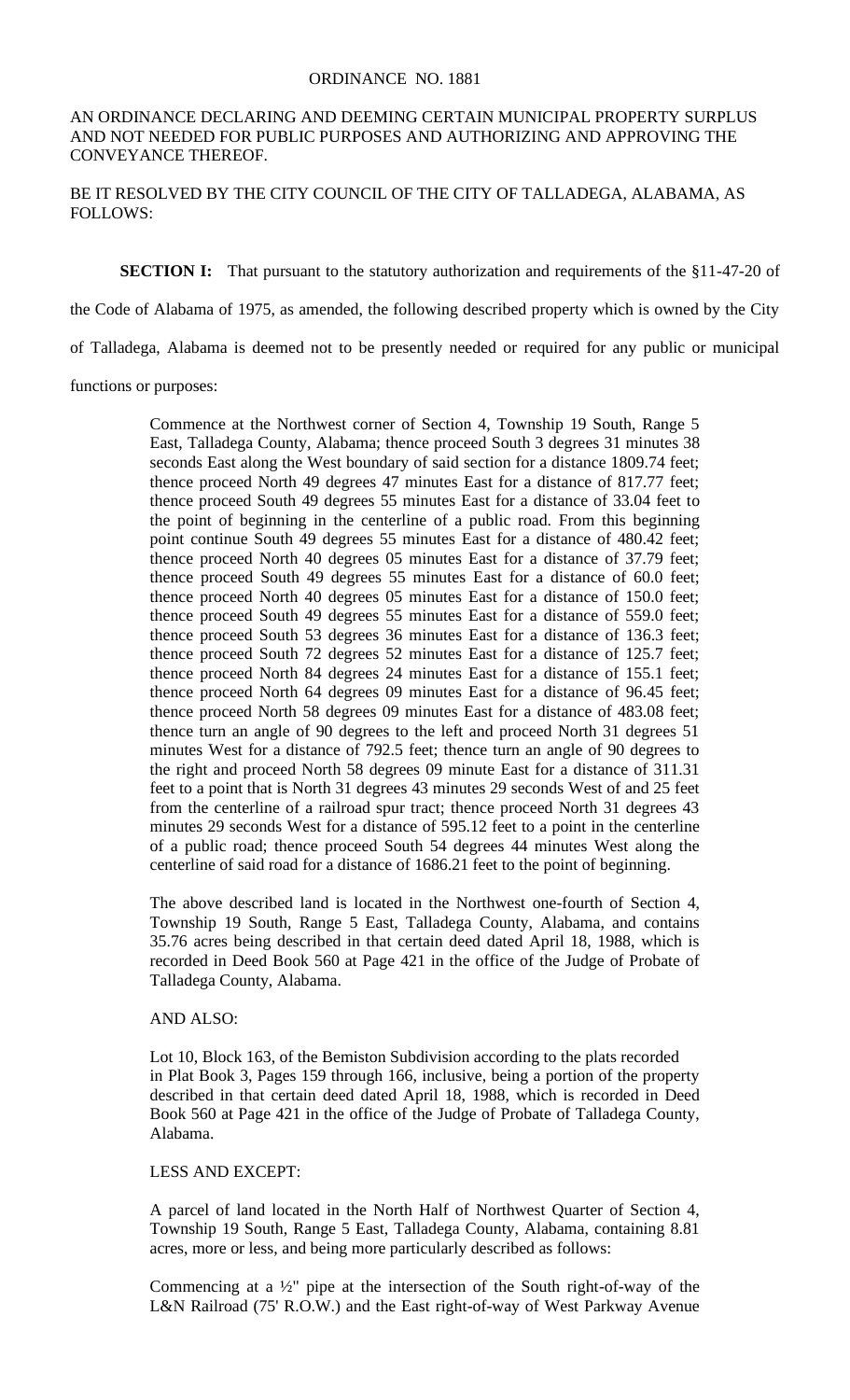#### ORDINANCE NO. 1881

## AN ORDINANCE DECLARING AND DEEMING CERTAIN MUNICIPAL PROPERTY SURPLUS AND NOT NEEDED FOR PUBLIC PURPOSES AND AUTHORIZING AND APPROVING THE CONVEYANCE THEREOF.

BE IT RESOLVED BY THE CITY COUNCIL OF THE CITY OF TALLADEGA, ALABAMA, AS FOLLOWS:

### **SECTION I:** That pursuant to the statutory authorization and requirements of the §11-47-20 of

the Code of Alabama of 1975, as amended, the following described property which is owned by the City

of Talladega, Alabama is deemed not to be presently needed or required for any public or municipal

functions or purposes:

Commence at the Northwest corner of Section 4, Township 19 South, Range 5 East, Talladega County, Alabama; thence proceed South 3 degrees 31 minutes 38 seconds East along the West boundary of said section for a distance 1809.74 feet; thence proceed North 49 degrees 47 minutes East for a distance of 817.77 feet; thence proceed South 49 degrees 55 minutes East for a distance of 33.04 feet to the point of beginning in the centerline of a public road. From this beginning point continue South 49 degrees 55 minutes East for a distance of 480.42 feet; thence proceed North 40 degrees 05 minutes East for a distance of 37.79 feet; thence proceed South 49 degrees 55 minutes East for a distance of 60.0 feet; thence proceed North 40 degrees 05 minutes East for a distance of 150.0 feet; thence proceed South 49 degrees 55 minutes East for a distance of 559.0 feet; thence proceed South 53 degrees 36 minutes East for a distance of 136.3 feet; thence proceed South 72 degrees 52 minutes East for a distance of 125.7 feet; thence proceed North 84 degrees 24 minutes East for a distance of 155.1 feet; thence proceed North 64 degrees 09 minutes East for a distance of 96.45 feet; thence proceed North 58 degrees 09 minutes East for a distance of 483.08 feet; thence turn an angle of 90 degrees to the left and proceed North 31 degrees 51 minutes West for a distance of 792.5 feet; thence turn an angle of 90 degrees to the right and proceed North 58 degrees 09 minute East for a distance of 311.31 feet to a point that is North 31 degrees 43 minutes 29 seconds West of and 25 feet from the centerline of a railroad spur tract; thence proceed North 31 degrees 43 minutes 29 seconds West for a distance of 595.12 feet to a point in the centerline of a public road; thence proceed South 54 degrees 44 minutes West along the centerline of said road for a distance of 1686.21 feet to the point of beginning.

The above described land is located in the Northwest one-fourth of Section 4, Township 19 South, Range 5 East, Talladega County, Alabama, and contains 35.76 acres being described in that certain deed dated April 18, 1988, which is recorded in Deed Book 560 at Page 421 in the office of the Judge of Probate of Talladega County, Alabama.

# AND ALSO:

Lot 10, Block 163, of the Bemiston Subdivision according to the plats recorded in Plat Book 3, Pages 159 through 166, inclusive, being a portion of the property described in that certain deed dated April 18, 1988, which is recorded in Deed Book 560 at Page 421 in the office of the Judge of Probate of Talladega County, Alabama.

## LESS AND EXCEPT:

A parcel of land located in the North Half of Northwest Quarter of Section 4, Township 19 South, Range 5 East, Talladega County, Alabama, containing 8.81 acres, more or less, and being more particularly described as follows:

Commencing at a  $\frac{1}{2}$ " pipe at the intersection of the South right-of-way of the L&N Railroad (75' R.O.W.) and the East right-of-way of West Parkway Avenue